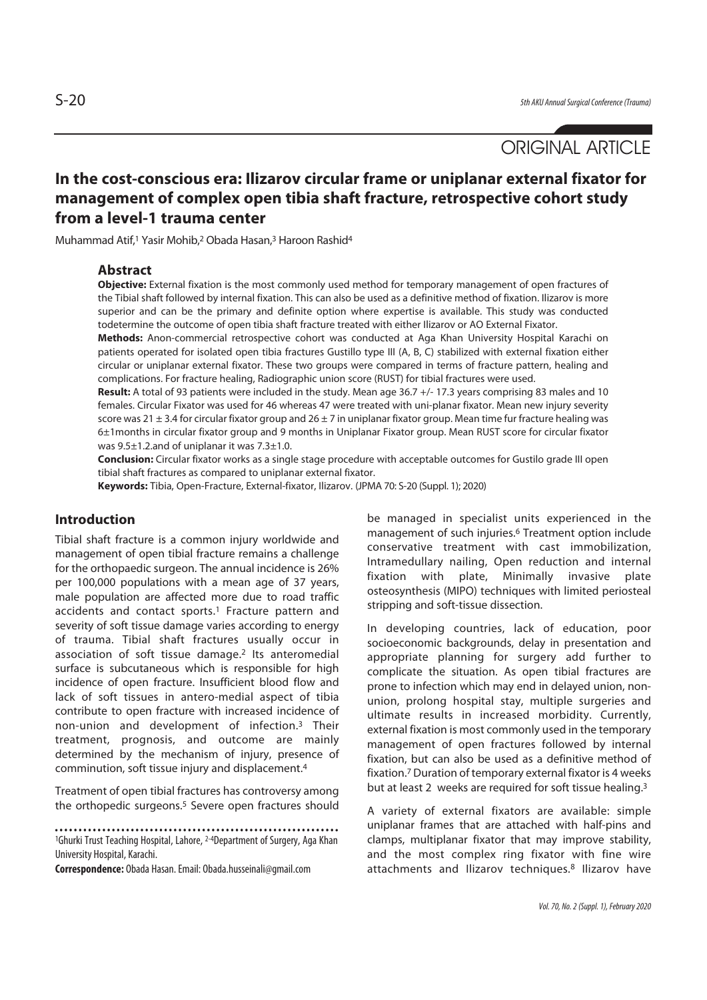# **In the cost-conscious era: Ilizarov circular frame or uniplanar external fixator for management of complex open tibia shaft fracture, retrospective cohort study from a level-1 trauma center**

Muhammad Atif,1 Yasir Mohib,2 Obada Hasan,3 Haroon Rashid4

# **Abstract**

**Objective:** External fixation is the most commonly used method for temporary management of open fractures of the Tibial shaft followed by internal fixation. This can also be used as a definitive method of fixation. Ilizarov is more superior and can be the primary and definite option where expertise is available. This study was conducted todetermine the outcome of open tibia shaft fracture treated with either Ilizarov or AO External Fixator.

**Methods:** Anon-commercial retrospective cohort was conducted at Aga Khan University Hospital Karachi on patients operated for isolated open tibia fractures Gustillo type III (A, B, C) stabilized with external fixation either circular or uniplanar external fixator. These two groups were compared in terms of fracture pattern, healing and complications. For fracture healing, Radiographic union score (RUST) for tibial fractures were used.

**Result:** A total of 93 patients were included in the study. Mean age 36.7 +/- 17.3 years comprising 83 males and 10 females. Circular Fixator was used for 46 whereas 47 were treated with uni-planar fixator. Mean new injury severity score was 21  $\pm$  3.4 for circular fixator group and 26  $\pm$  7 in uniplanar fixator group. Mean time fur fracture healing was 6±1months in circular fixator group and 9 months in Uniplanar Fixator group. Mean RUST score for circular fixator was 9.5±1.2.and of uniplanar it was 7.3±1.0.

**Conclusion:** Circular fixator works as a single stage procedure with acceptable outcomes for Gustilo grade III open tibial shaft fractures as compared to uniplanar external fixator.

**Keywords:** Tibia, Open-Fracture, External-fixator, Ilizarov. (JPMA 70: S-20 (Suppl. 1); 2020)

# **Introduction**

Tibial shaft fracture is a common injury worldwide and management of open tibial fracture remains a challenge for the orthopaedic surgeon. The annual incidence is 26% per 100,000 populations with a mean age of 37 years, male population are affected more due to road traffic accidents and contact sports.<sup>1</sup> Fracture pattern and severity of soft tissue damage varies according to energy of trauma. Tibial shaft fractures usually occur in association of soft tissue damage.2 Its anteromedial surface is subcutaneous which is responsible for high incidence of open fracture. Insufficient blood flow and lack of soft tissues in antero-medial aspect of tibia contribute to open fracture with increased incidence of non-union and development of infection.3 Their treatment, prognosis, and outcome are mainly determined by the mechanism of injury, presence of comminution, soft tissue injury and displacement.4

Treatment of open tibial fractures has controversy among the orthopedic surgeons.5 Severe open fractures should

1Ghurki Trust Teaching Hospital, Lahore, 2-4Department of Surgery, Aga Khan University Hospital, Karachi.

**Correspondence:** Obada Hasan. Email: Obada.husseinali@gmail.com

be managed in specialist units experienced in the management of such injuries.6 Treatment option include conservative treatment with cast immobilization, Intramedullary nailing, Open reduction and internal fixation with plate, Minimally invasive plate osteosynthesis (MIPO) techniques with limited periosteal stripping and soft-tissue dissection.

In developing countries, lack of education, poor socioeconomic backgrounds, delay in presentation and appropriate planning for surgery add further to complicate the situation. As open tibial fractures are prone to infection which may end in delayed union, nonunion, prolong hospital stay, multiple surgeries and ultimate results in increased morbidity. Currently, external fixation is most commonly used in the temporary management of open fractures followed by internal fixation, but can also be used as a definitive method of fixation.7 Duration of temporary external fixator is 4 weeks but at least 2 weeks are required for soft tissue healing.<sup>3</sup>

A variety of external fixators are available: simple uniplanar frames that are attached with half-pins and clamps, multiplanar fixator that may improve stability, and the most complex ring fixator with fine wire attachments and Ilizarov techniques.8 Ilizarov have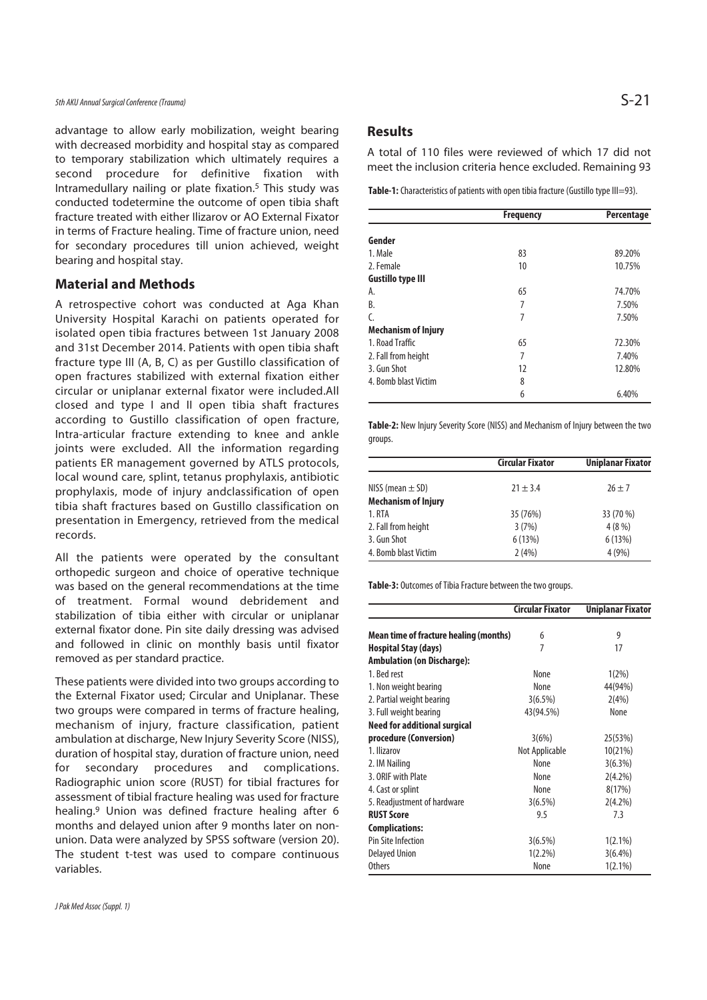advantage to allow early mobilization, weight bearing with decreased morbidity and hospital stay as compared to temporary stabilization which ultimately requires a second procedure for definitive fixation with Intramedullary nailing or plate fixation.5 This study was conducted todetermine the outcome of open tibia shaft fracture treated with either Ilizarov or AO External Fixator in terms of Fracture healing. Time of fracture union, need for secondary procedures till union achieved, weight bearing and hospital stay.

# **Material and Methods**

A retrospective cohort was conducted at Aga Khan University Hospital Karachi on patients operated for isolated open tibia fractures between 1st January 2008 and 31st December 2014. Patients with open tibia shaft fracture type III (A, B, C) as per Gustillo classification of open fractures stabilized with external fixation either circular or uniplanar external fixator were included.All closed and type I and II open tibia shaft fractures according to Gustillo classification of open fracture, Intra-articular fracture extending to knee and ankle joints were excluded. All the information regarding patients ER management governed by ATLS protocols, local wound care, splint, tetanus prophylaxis, antibiotic prophylaxis, mode of injury andclassification of open tibia shaft fractures based on Gustillo classification on presentation in Emergency, retrieved from the medical records.

All the patients were operated by the consultant orthopedic surgeon and choice of operative technique was based on the general recommendations at the time of treatment. Formal wound debridement and stabilization of tibia either with circular or uniplanar external fixator done. Pin site daily dressing was advised and followed in clinic on monthly basis until fixator removed as per standard practice.

These patients were divided into two groups according to the External Fixator used; Circular and Uniplanar. These two groups were compared in terms of fracture healing, mechanism of injury, fracture classification, patient ambulation at discharge, New Injury Severity Score (NISS), duration of hospital stay, duration of fracture union, need for secondary procedures and complications. Radiographic union score (RUST) for tibial fractures for assessment of tibial fracture healing was used for fracture healing.9 Union was defined fracture healing after 6 months and delayed union after 9 months later on nonunion. Data were analyzed by SPSS software (version 20). The student t-test was used to compare continuous variables.

# **Results**

A total of 110 files were reviewed of which 17 did not meet the inclusion criteria hence excluded. Remaining 93

**Table-1:** Characteristics of patients with open tibia fracture (Gustillo type III=93).

|                            | <b>Frequency</b> | Percentage |
|----------------------------|------------------|------------|
| Gender                     |                  |            |
| 1. Male                    | 83               | 89.20%     |
| 2. Female                  | 10               | 10.75%     |
| <b>Gustillo type III</b>   |                  |            |
| А.                         | 65               | 74.70%     |
| B.                         | 7                | 7.50%      |
| C.                         | 7                | 7.50%      |
| <b>Mechanism of Injury</b> |                  |            |
| 1. Road Traffic            | 65               | 72.30%     |
| 2. Fall from height        | 7                | 7.40%      |
| 3. Gun Shot                | 12               | 12.80%     |
| 4. Bomb blast Victim       | 8                |            |
|                            | 6                | 6.40%      |

**Table-2:** New Injury Severity Score (NISS) and Mechanism of Injury between the two groups.

|                            | <b>Circular Fixator</b> | <b>Uniplanar Fixator</b> |
|----------------------------|-------------------------|--------------------------|
| NISS (mean $\pm$ SD)       | $21 \pm 3.4$            | $26 + 7$                 |
| <b>Mechanism of Injury</b> |                         |                          |
| 1. RTA                     | 35 (76%)                | 33 (70 %)                |
| 2. Fall from height        | 3(7%)                   | 4(8%)                    |
| 3. Gun Shot                | 6(13%)                  | 6(13%)                   |
| 4. Bomb blast Victim       | 2(4%)                   | 4(9%)                    |

**Table-3:** Outcomes of Tibia Fracture between the two groups.

|                                        | <b>Circular Fixator</b> | <b>Uniplanar Fixator</b> |
|----------------------------------------|-------------------------|--------------------------|
| Mean time of fracture healing (months) | 6                       | 9                        |
| <b>Hospital Stay (days)</b>            | 7                       | 17                       |
| <b>Ambulation (on Discharge):</b>      |                         |                          |
| 1. Bed rest                            | None                    | 1(2%)                    |
| 1. Non weight bearing                  | None                    | 44(94%)                  |
| 2. Partial weight bearing              | 3(6.5%)                 | 2(4%)                    |
| 3. Full weight bearing                 | 43(94.5%)               | None                     |
| Need for additional surgical           |                         |                          |
| procedure (Conversion)                 | 3(6%)                   | 25(53%)                  |
| 1. Ilizarov                            | Not Applicable          | 10(21%)                  |
| 2. IM Nailing                          | None                    | 3(6.3%)                  |
| 3. ORIF with Plate                     | None                    | $2(4.2\%)$               |
| 4. Cast or splint                      | None                    | 8(17%)                   |
| 5. Readjustment of hardware            | 3(6.5%)                 | $2(4.2\%)$               |
| <b>RUST Score</b>                      | 9.5                     | 7.3                      |
| <b>Complications:</b>                  |                         |                          |
| <b>Pin Site Infection</b>              | 3(6.5%)                 | $1(2.1\%)$               |
| <b>Delayed Union</b>                   | $1(2.2\%)$              | $3(6.4\%)$               |
| <b>Others</b>                          | None                    | $1(2.1\%)$               |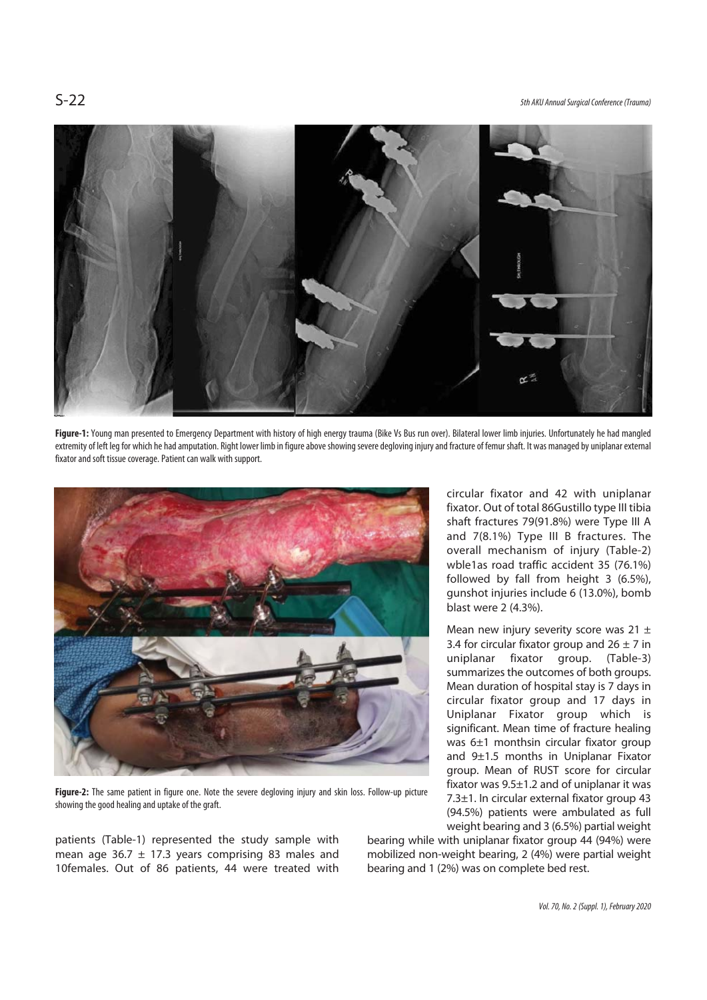S-22 5th AKU Annual Surgical Conference (Trauma)



Figure-1: Young man presented to Emergency Department with history of high energy trauma (Bike Vs Bus run over). Bilateral lower limb injuries. Unfortunately he had mangled extremity of left leg for which he had amputation. Right lower limb in figure above showing severe degloving injury and fracture of femur shaft. It was managed by uniplanar external fixator and soft tissue coverage. Patient can walk with support.



**Figure-2:** The same patient in figure one. Note the severe degloving injury and skin loss. Follow-up picture showing the good healing and uptake of the graft.

patients (Table-1) represented the study sample with mean age 36.7  $\pm$  17.3 years comprising 83 males and 10females. Out of 86 patients, 44 were treated with

circular fixator and 42 with uniplanar fixator. Out of total 86Gustillo type III tibia shaft fractures 79(91.8%) were Type III A and 7(8.1%) Type III B fractures. The overall mechanism of injury (Table-2) wble1as road traffic accident 35 (76.1%) followed by fall from height 3 (6.5%), gunshot injuries include 6 (13.0%), bomb blast were 2 (4.3%).

Mean new injury severity score was 21  $\pm$ 3.4 for circular fixator group and  $26 \pm 7$  in uniplanar fixator group. (Table-3) summarizes the outcomes of both groups. Mean duration of hospital stay is 7 days in circular fixator group and 17 days in Uniplanar Fixator group which is significant. Mean time of fracture healing was 6±1 monthsin circular fixator group and 9±1.5 months in Uniplanar Fixator group. Mean of RUST score for circular fixator was 9.5±1.2 and of uniplanar it was 7.3±1. In circular external fixator group 43 (94.5%) patients were ambulated as full weight bearing and 3 (6.5%) partial weight

bearing while with uniplanar fixator group 44 (94%) were mobilized non-weight bearing, 2 (4%) were partial weight bearing and 1 (2%) was on complete bed rest.